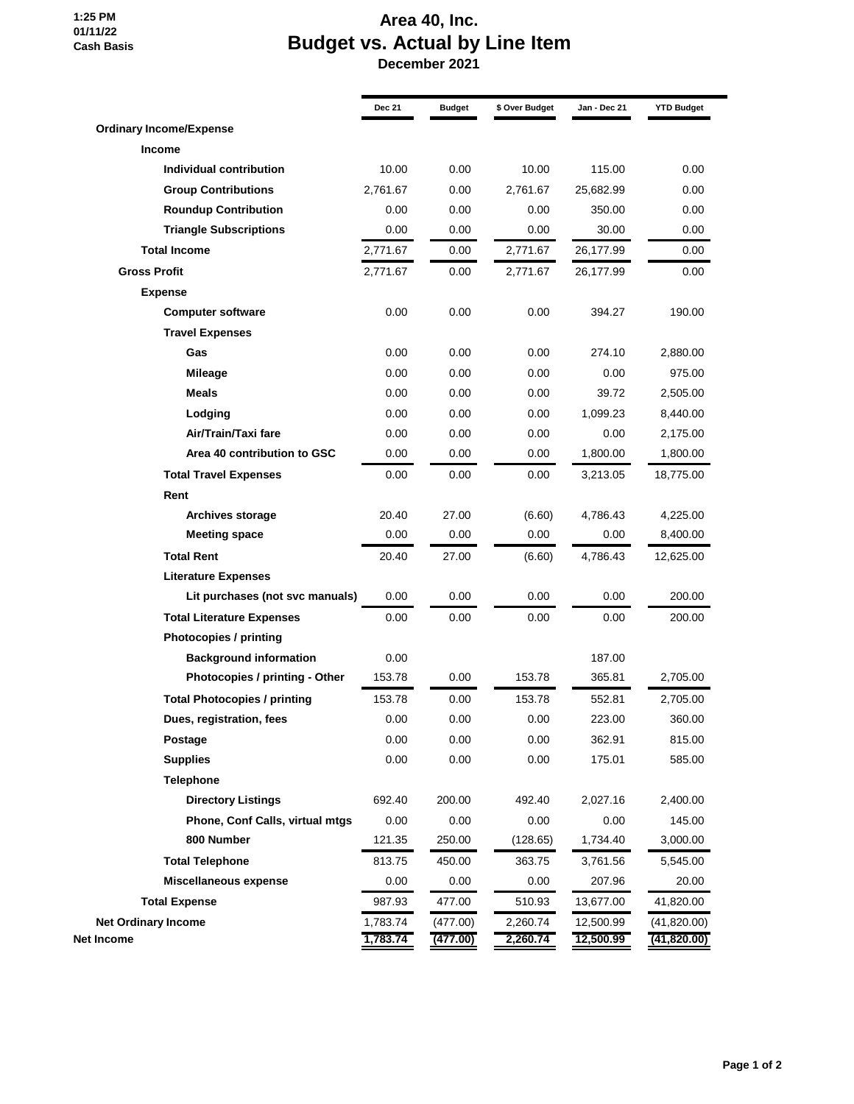**1:25 PM 01/11/22 Cash Basis**

## **Area 40, Inc. Budget vs. Actual by Line Item**

 **December 2021**

| <b>Dec 21</b> | <b>Budget</b>                               | \$ Over Budget | Jan - Dec 21         | <b>YTD Budget</b>           |
|---------------|---------------------------------------------|----------------|----------------------|-----------------------------|
|               |                                             |                |                      |                             |
|               |                                             |                |                      |                             |
| 10.00         | 0.00                                        | 10.00          | 115.00               | 0.00                        |
| 2,761.67      | 0.00                                        | 2,761.67       | 25,682.99            | 0.00                        |
| 0.00          | 0.00                                        | 0.00           | 350.00               | 0.00                        |
| 0.00          | 0.00                                        | 0.00           | 30.00                | 0.00                        |
| 2,771.67      | 0.00                                        | 2,771.67       | 26,177.99            | 0.00                        |
| 2,771.67      | 0.00                                        | 2,771.67       | 26,177.99            | 0.00                        |
|               |                                             |                |                      |                             |
| 0.00          | 0.00                                        | 0.00           | 394.27               | 190.00                      |
|               |                                             |                |                      |                             |
| 0.00          | 0.00                                        | 0.00           | 274.10               | 2,880.00                    |
| 0.00          | 0.00                                        | 0.00           | 0.00                 | 975.00                      |
| 0.00          | 0.00                                        | 0.00           | 39.72                | 2,505.00                    |
| 0.00          | 0.00                                        | 0.00           | 1,099.23             | 8,440.00                    |
| 0.00          | 0.00                                        | 0.00           | 0.00                 | 2,175.00                    |
| 0.00          | 0.00                                        | 0.00           | 1,800.00             | 1,800.00                    |
| 0.00          | 0.00                                        | 0.00           | 3,213.05             | 18,775.00                   |
|               |                                             |                |                      |                             |
| 20.40         | 27.00                                       | (6.60)         | 4,786.43             | 4,225.00                    |
| 0.00          | 0.00                                        | 0.00           | 0.00                 | 8,400.00                    |
| 20.40         | 27.00                                       | (6.60)         | 4,786.43             | 12,625.00                   |
|               |                                             |                |                      |                             |
| 0.00          | 0.00                                        | 0.00           | 0.00                 | 200.00                      |
| 0.00          | 0.00                                        | 0.00           | 0.00                 | 200.00                      |
|               |                                             |                |                      |                             |
| 0.00          |                                             |                | 187.00               |                             |
| 153.78        | 0.00                                        | 153.78         | 365.81               | 2,705.00                    |
| 153.78        | 0.00                                        | 153.78         | 552.81               | 2,705.00                    |
| 0.00          | 0.00                                        | 0.00           | 223.00               | 360.00                      |
| 0.00          | 0.00                                        | 0.00           | 362.91               | 815.00                      |
| 0.00          | 0.00                                        | 0.00           | 175.01               | 585.00                      |
|               |                                             |                |                      |                             |
| 692.40        | 200.00                                      | 492.40         | 2,027.16             | 2,400.00                    |
| 0.00          | 0.00                                        | 0.00           | 0.00                 | 145.00                      |
| 121.35        | 250.00                                      | (128.65)       | 1,734.40             | 3,000.00                    |
| 813.75        | 450.00                                      | 363.75         | 3,761.56             | 5,545.00                    |
| 0.00          | 0.00                                        | 0.00           | 207.96               | 20.00                       |
| 987.93        | 477.00                                      | 510.93         | 13,677.00            | 41,820.00                   |
| 1,783.74      | (477.00)                                    | 2,260.74       | 12,500.99            | (41, 820.00)<br>(41,820.00) |
|               | Lit purchases (not svc manuals)<br>1,783.74 |                | (477.00)<br>2,260.74 | 12,500.99                   |

a,